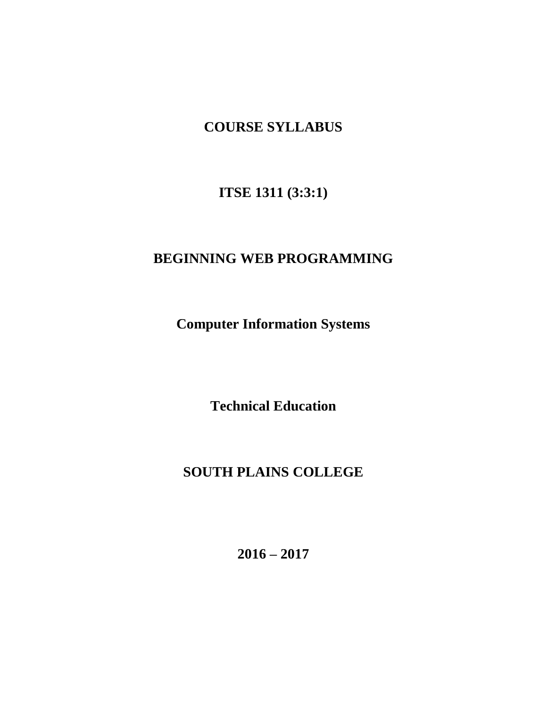# **COURSE SYLLABUS**

**ITSE 1311 (3:3:1)**

# **BEGINNING WEB PROGRAMMING**

**Computer Information Systems**

**Technical Education**

# **SOUTH PLAINS COLLEGE**

**2016 – 2017**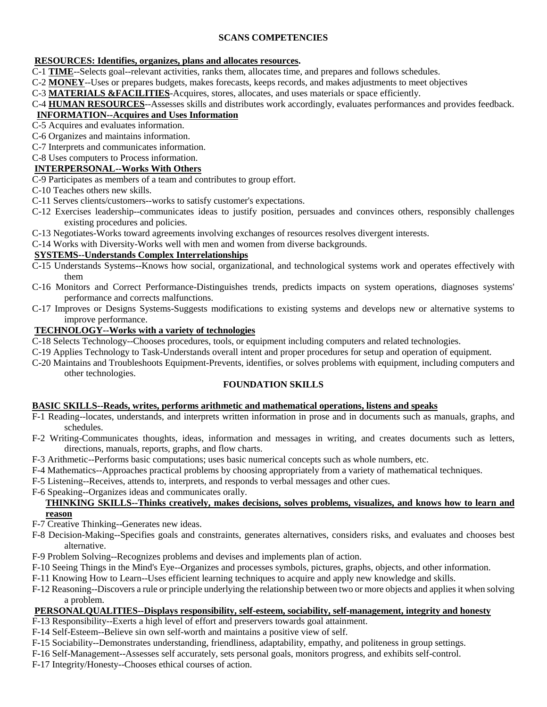### **SCANS COMPETENCIES**

#### **RESOURCES: Identifies, organizes, plans and allocates resources.**

- C-1 **TIME**--Selects goal--relevant activities, ranks them, allocates time, and prepares and follows schedules.
- C-2 **MONEY**--Uses or prepares budgets, makes forecasts, keeps records, and makes adjustments to meet objectives
- C-3 **MATERIALS &FACILITIES**-Acquires, stores, allocates, and uses materials or space efficiently.

C-4 **HUMAN RESOURCES**--Assesses skills and distributes work accordingly, evaluates performances and provides feedback.

# **INFORMATION--Acquires and Uses Information**

- C-5 Acquires and evaluates information.
- C-6 Organizes and maintains information.
- C-7 Interprets and communicates information.
- C-8 Uses computers to Process information.

# **INTERPERSONAL--Works With Others**

- C-9 Participates as members of a team and contributes to group effort.
- C-10 Teaches others new skills.
- C-11 Serves clients/customers--works to satisfy customer's expectations.
- C-12 Exercises leadership--communicates ideas to justify position, persuades and convinces others, responsibly challenges existing procedures and policies.
- C-13 Negotiates-Works toward agreements involving exchanges of resources resolves divergent interests.
- C-14 Works with Diversity-Works well with men and women from diverse backgrounds.

#### **SYSTEMS--Understands Complex Interrelationships**

- C-15 Understands Systems--Knows how social, organizational, and technological systems work and operates effectively with them
- C-16 Monitors and Correct Performance-Distinguishes trends, predicts impacts on system operations, diagnoses systems' performance and corrects malfunctions.
- C-17 Improves or Designs Systems-Suggests modifications to existing systems and develops new or alternative systems to improve performance.

#### **TECHNOLOGY--Works with a variety of technologies**

- C-18 Selects Technology--Chooses procedures, tools, or equipment including computers and related technologies.
- C-19 Applies Technology to Task-Understands overall intent and proper procedures for setup and operation of equipment.
- C-20 Maintains and Troubleshoots Equipment-Prevents, identifies, or solves problems with equipment, including computers and other technologies.

#### **FOUNDATION SKILLS**

#### **BASIC SKILLS--Reads, writes, performs arithmetic and mathematical operations, listens and speaks**

- F-1 Reading--locates, understands, and interprets written information in prose and in documents such as manuals, graphs, and schedules.
- F-2 Writing-Communicates thoughts, ideas, information and messages in writing, and creates documents such as letters, directions, manuals, reports, graphs, and flow charts.
- F-3 Arithmetic--Performs basic computations; uses basic numerical concepts such as whole numbers, etc.
- F-4 Mathematics--Approaches practical problems by choosing appropriately from a variety of mathematical techniques.
- F-5 Listening--Receives, attends to, interprets, and responds to verbal messages and other cues.
- F-6 Speaking--Organizes ideas and communicates orally.

#### **THINKING SKILLS--Thinks creatively, makes decisions, solves problems, visualizes, and knows how to learn and reason**

- F-7 Creative Thinking--Generates new ideas.
- F-8 Decision-Making--Specifies goals and constraints, generates alternatives, considers risks, and evaluates and chooses best alternative.
- F-9 Problem Solving--Recognizes problems and devises and implements plan of action.
- F-10 Seeing Things in the Mind's Eye--Organizes and processes symbols, pictures, graphs, objects, and other information.
- F-11 Knowing How to Learn--Uses efficient learning techniques to acquire and apply new knowledge and skills.
- F-12 Reasoning--Discovers a rule or principle underlying the relationship between two or more objects and appliesit when solving a problem.

#### **PERSONALQUALITIES--Displays responsibility, self-esteem, sociability, self-management, integrity and honesty**

- F-13 Responsibility--Exerts a high level of effort and preservers towards goal attainment.
- F-14 Self-Esteem--Believe sin own self-worth and maintains a positive view of self.
- F-15 Sociability--Demonstrates understanding, friendliness, adaptability, empathy, and politeness in group settings.
- F-16 Self-Management--Assesses self accurately, sets personal goals, monitors progress, and exhibits self-control.
- F-17 Integrity/Honesty--Chooses ethical courses of action.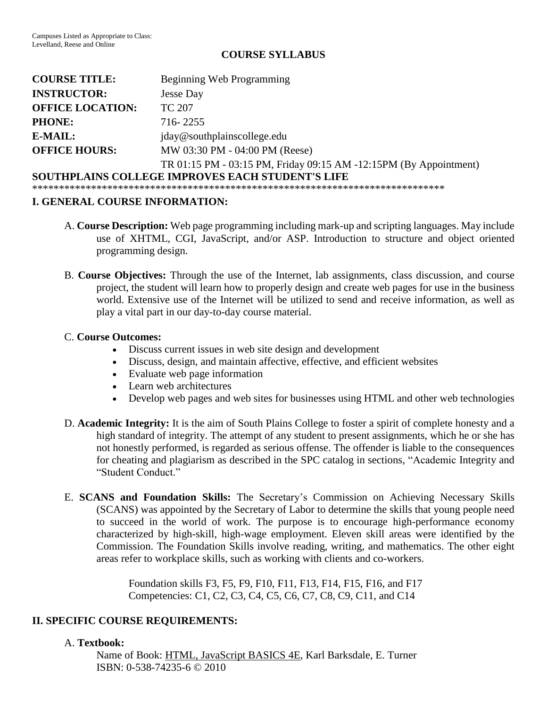# **COURSE SYLLABUS**

| <b>COURSE TITLE:</b>                                    | Beginning Web Programming                                          |
|---------------------------------------------------------|--------------------------------------------------------------------|
| <b>INSTRUCTOR:</b>                                      | <b>Jesse Day</b>                                                   |
| <b>OFFICE LOCATION:</b>                                 | TC 207                                                             |
| <b>PHONE:</b>                                           | 716-2255                                                           |
| E-MAIL:                                                 | jday@southplainscollege.edu                                        |
| <b>OFFICE HOURS:</b>                                    | MW 03:30 PM - 04:00 PM (Reese)                                     |
|                                                         | TR 01:15 PM - 03:15 PM, Friday 09:15 AM -12:15 PM (By Appointment) |
| <b>SOUTHPLAINS COLLEGE IMPROVES EACH STUDENT'S LIFE</b> |                                                                    |

\*\*\*\*\*\*\*\*\*\*\*\*\*\*\*\*\*\*\*\*\*\*\*\*\*\*\*\*\*\*\*\*\*\*\*\*\*\*\*\*\*\*\*\*\*\*\*\*\*\*\*\*\*\*\*\*\*\*\*\*\*\*\*\*\*\*\*\*\*\*\*\*\*\*\*\*\*

#### **I. GENERAL COURSE INFORMATION:**

- A. **Course Description:** Web page programming including mark-up and scripting languages. May include use of XHTML, CGI, JavaScript, and/or ASP. Introduction to structure and object oriented programming design.
- B. **Course Objectives:** Through the use of the Internet, lab assignments, class discussion, and course project, the student will learn how to properly design and create web pages for use in the business world. Extensive use of the Internet will be utilized to send and receive information, as well as play a vital part in our day-to-day course material.

#### C. **Course Outcomes:**

- Discuss current issues in web site design and development
- Discuss, design, and maintain affective, effective, and efficient websites
- Evaluate web page information
- Learn web architectures
- Develop web pages and web sites for businesses using HTML and other web technologies
- D. **Academic Integrity:** It is the aim of South Plains College to foster a spirit of complete honesty and a high standard of integrity. The attempt of any student to present assignments, which he or she has not honestly performed, is regarded as serious offense. The offender is liable to the consequences for cheating and plagiarism as described in the SPC catalog in sections, "Academic Integrity and "Student Conduct."
- E. **SCANS and Foundation Skills:** The Secretary's Commission on Achieving Necessary Skills (SCANS) was appointed by the Secretary of Labor to determine the skills that young people need to succeed in the world of work. The purpose is to encourage high-performance economy characterized by high-skill, high-wage employment. Eleven skill areas were identified by the Commission. The Foundation Skills involve reading, writing, and mathematics. The other eight areas refer to workplace skills, such as working with clients and co-workers.

Foundation skills F3, F5, F9, F10, F11, F13, F14, F15, F16, and F17 Competencies: C1, C2, C3, C4, C5, C6, C7, C8, C9, C11, and C14

### **II. SPECIFIC COURSE REQUIREMENTS:**

### A. **Textbook:**

Name of Book: HTML, JavaScript BASICS 4E, Karl Barksdale, E. Turner ISBN: 0-538-74235-6 © 2010